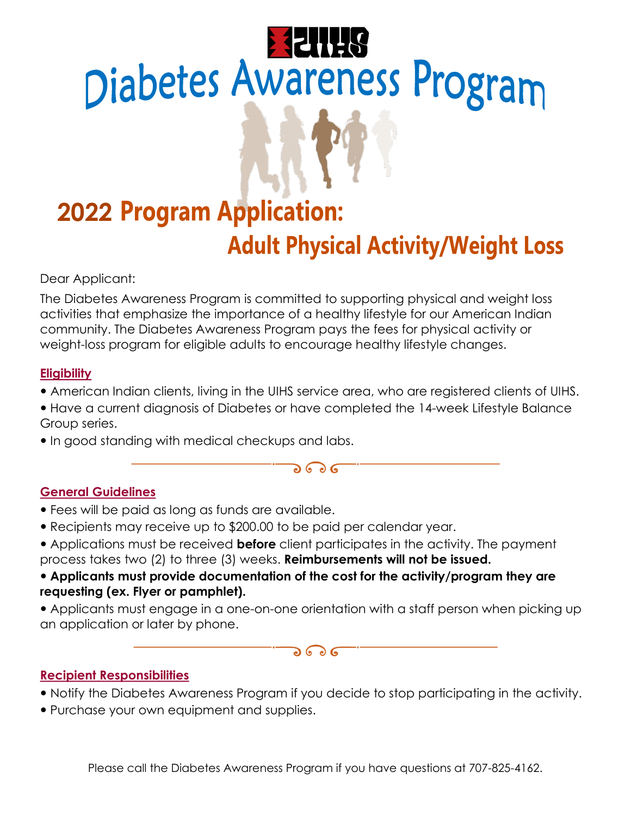# **Diabetes Awareness Program**

# **2022 Program Application: Adult Physical Activity/Weight Loss**

Dear Applicant:

The Diabetes Awareness Program is committed to supporting physical and weight loss activities that emphasize the importance of a healthy lifestyle for our American Indian community. The Diabetes Awareness Program pays the fees for physical activity or weight-loss program for eligible adults to encourage healthy lifestyle changes.

# **Eligibility**

- American Indian clients, living in the UIHS service area, who are registered clients of UIHS.
- Have a current diagnosis of Diabetes or have completed the 14-week Lifestyle Balance Group series.

 $566$ 

• In good standing with medical checkups and labs.

# General Guidelines

- Fees will be paid as long as funds are available.
- Recipients may receive up to \$200.00 to be paid per calendar year.
- Applications must be received **before** client participates in the activity. The payment process takes two (2) to three (3) weeks. Reimbursements will not be issued.
- Applicants must provide documentation of the cost for the activity/program they are requesting (ex. Flyer or pamphlet).
- Applicants must engage in a one-on-one orientation with a staff person when picking up an application or later by phone.

### $\mathbf{\partial} \mathbf{\Theta} \mathbf{G}$

# Recipient Responsibilities

- Notify the Diabetes Awareness Program if you decide to stop participating in the activity.
- Purchase your own equipment and supplies.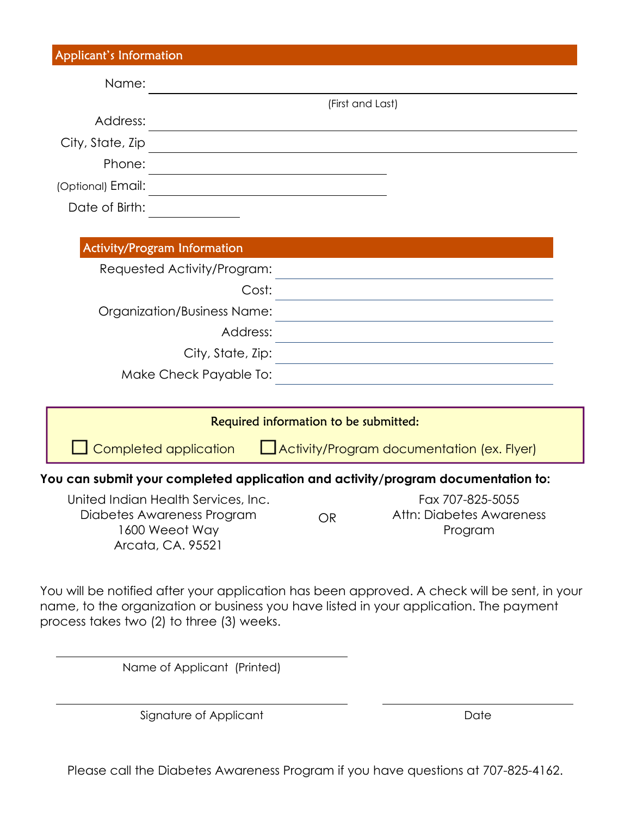| <b>Applicant's Information</b> |                                                                                                          |                                       |           |                                                                                  |  |
|--------------------------------|----------------------------------------------------------------------------------------------------------|---------------------------------------|-----------|----------------------------------------------------------------------------------|--|
| Name:                          |                                                                                                          |                                       |           |                                                                                  |  |
|                                |                                                                                                          | (First and Last)                      |           |                                                                                  |  |
| Address:                       |                                                                                                          |                                       |           |                                                                                  |  |
| City, State, Zip               |                                                                                                          |                                       |           |                                                                                  |  |
| Phone:                         |                                                                                                          |                                       |           |                                                                                  |  |
| (Optional) Email:              |                                                                                                          |                                       |           |                                                                                  |  |
| Date of Birth:                 |                                                                                                          |                                       |           |                                                                                  |  |
|                                | <b>Activity/Program Information</b>                                                                      |                                       |           |                                                                                  |  |
|                                | Requested Activity/Program:                                                                              |                                       |           |                                                                                  |  |
|                                | Cost:                                                                                                    |                                       |           |                                                                                  |  |
|                                | Organization/Business Name:                                                                              |                                       |           |                                                                                  |  |
|                                | Address:                                                                                                 |                                       |           |                                                                                  |  |
|                                | City, State, Zip:                                                                                        |                                       |           |                                                                                  |  |
|                                | Make Check Payable To:                                                                                   |                                       |           |                                                                                  |  |
|                                |                                                                                                          | Required information to be submitted: |           |                                                                                  |  |
|                                | Completed application                                                                                    |                                       |           | Activity/Program documentation (ex. Flyer)                                       |  |
|                                |                                                                                                          |                                       |           | You can submit your completed application and activity/program documentation to: |  |
|                                | United Indian Health Services, Inc.<br>Diabetes Awareness Program<br>1600 Weeot Way<br>Arcata, CA. 95521 |                                       | <b>OR</b> | Fax 707-825-5055<br>Attn: Diabetes Awareness<br>Program                          |  |

You will be notified after your application has been approved. A check will be sent, in your name, to the organization or business you have listed in your application. The payment process takes two (2) to three (3) weeks.

Name of Applicant (Printed)

Signature of Applicant Date Date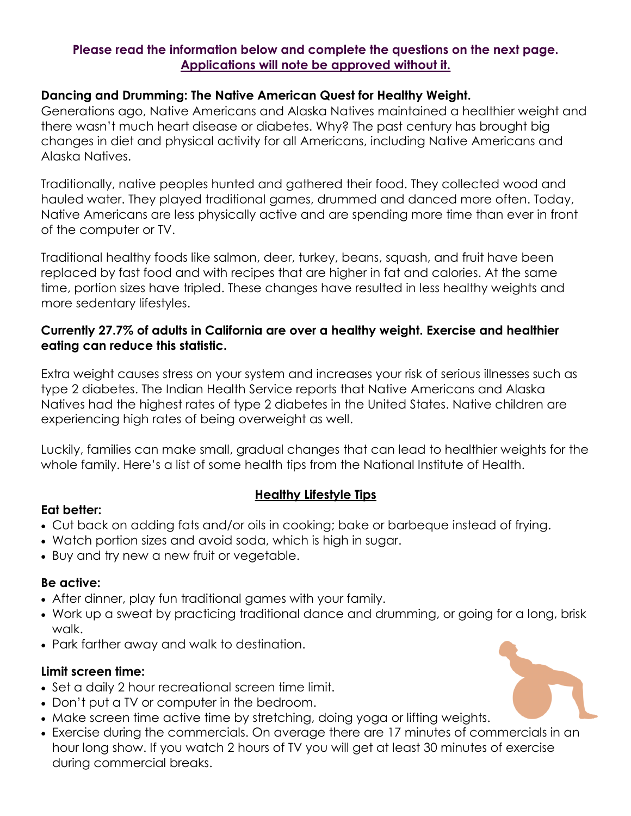### Please read the information below and complete the questions on the next page. Applications will note be approved without it.

### Dancing and Drumming: The Native American Quest for Healthy Weight.

Generations ago, Native Americans and Alaska Natives maintained a healthier weight and there wasn't much heart disease or diabetes. Why? The past century has brought big changes in diet and physical activity for all Americans, including Native Americans and Alaska Natives.

Traditionally, native peoples hunted and gathered their food. They collected wood and hauled water. They played traditional games, drummed and danced more often. Today, Native Americans are less physically active and are spending more time than ever in front of the computer or TV.

Traditional healthy foods like salmon, deer, turkey, beans, squash, and fruit have been replaced by fast food and with recipes that are higher in fat and calories. At the same time, portion sizes have tripled. These changes have resulted in less healthy weights and more sedentary lifestyles.

### Currently 27.7% of adults in California are over a healthy weight. Exercise and healthier eating can reduce this statistic.

Extra weight causes stress on your system and increases your risk of serious illnesses such as type 2 diabetes. The Indian Health Service reports that Native Americans and Alaska Natives had the highest rates of type 2 diabetes in the United States. Native children are experiencing high rates of being overweight as well.

Luckily, families can make small, gradual changes that can lead to healthier weights for the whole family. Here's a list of some health tips from the National Institute of Health.

### Healthy Lifestyle Tips

### Eat better:

- · Cut back on adding fats and/or oils in cooking; bake or barbeque instead of frying.
- · Watch portion sizes and avoid soda, which is high in sugar.
- · Buy and try new a new fruit or vegetable.

### Be active:

- · After dinner, play fun traditional games with your family.
- · Work up a sweat by practicing traditional dance and drumming, or going for a long, brisk walk.
- · Park farther away and walk to destination.

### Limit screen time:

- · Set a daily 2 hour recreational screen time limit.
- · Don't put a TV or computer in the bedroom.
- · Make screen time active time by stretching, doing yoga or lifting weights.
- · Exercise during the commercials. On average there are 17 minutes of commercials in an hour long show. If you watch 2 hours of TV you will get at least 30 minutes of exercise during commercial breaks.